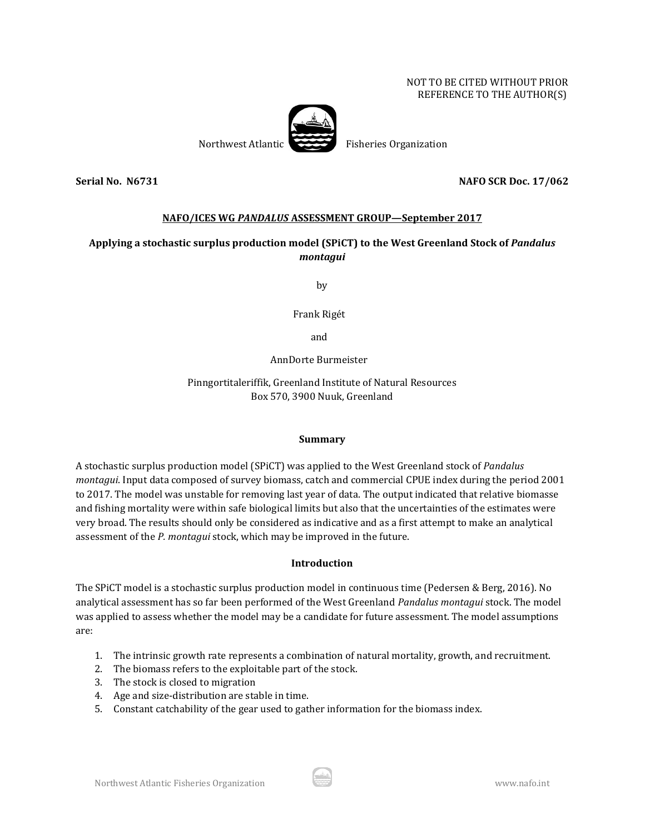### NOT TO BE CITED WITHOUT PRIOR REFERENCE TO THE AUTHOR(S)



Northwest Atlantic Fisheries Organization

**Serial No. N6731 NAFO SCR Doc. 17/062**

# **NAFO/ICES WG** *PANDALUS* **ASSESSMENT GROUP—September 2017**

# **Applying a stochastic surplus production model (SPiCT) to the West Greenland Stock of** *Pandalus montagui*

by

Frank Rigét

and

AnnDorte Burmeister

Pinngortitaleriffik, Greenland Institute of Natural Resources Box 570, 3900 Nuuk, Greenland

### **Summary**

A stochastic surplus production model (SPiCT) was applied to the West Greenland stock of *Pandalus montagui*. Input data composed of survey biomass, catch and commercial CPUE index during the period 2001 to 2017. The model was unstable for removing last year of data. The output indicated that relative biomasse and fishing mortality were within safe biological limits but also that the uncertainties of the estimates were very broad. The results should only be considered as indicative and as a first attempt to make an analytical assessment of the *P. montagui* stock, which may be improved in the future.

# **Introduction**

The SPiCT model is a stochastic surplus production model in continuous time (Pedersen & Berg, 2016). No analytical assessment has so far been performed of the West Greenland *Pandalus montagui* stock. The model was applied to assess whether the model may be a candidate for future assessment. The model assumptions are:

- 1. The intrinsic growth rate represents a combination of natural mortality, growth, and recruitment.
- 2. The biomass refers to the exploitable part of the stock.
- 3. The stock is closed to migration
- 4. Age and size-distribution are stable in time.
- 5. Constant catchability of the gear used to gather information for the biomass index.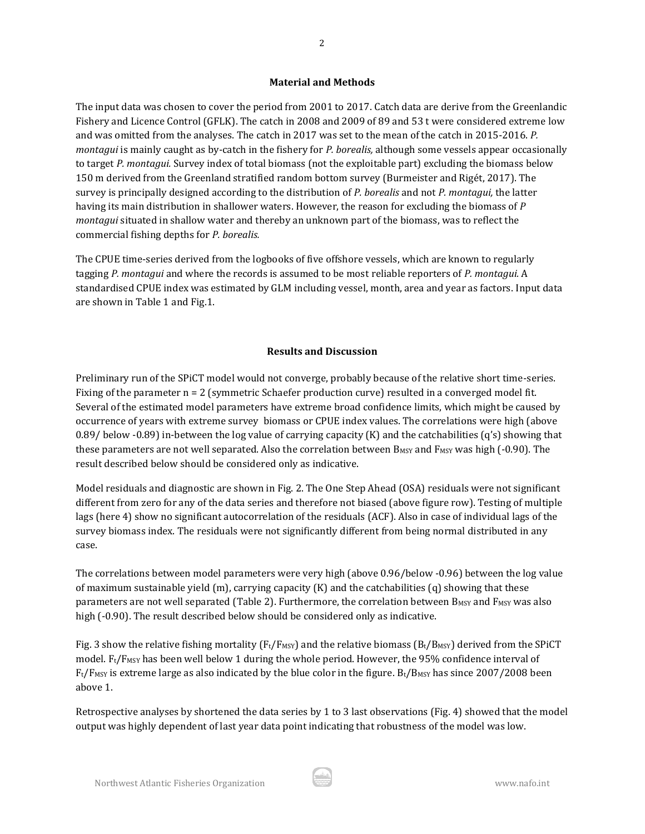# 2

### **Material and Methods**

The input data was chosen to cover the period from 2001 to 2017. Catch data are derive from the Greenlandic Fishery and Licence Control (GFLK). The catch in 2008 and 2009 of 89 and 53 t were considered extreme low and was omitted from the analyses. The catch in 2017 was set to the mean of the catch in 2015-2016. *P. montagui* is mainly caught as by-catch in the fishery for *P. borealis,* although some vessels appear occasionally to target *P. montagui.* Survey index of total biomass (not the exploitable part) excluding the biomass below 150 m derived from the Greenland stratified random bottom survey (Burmeister and Rigét, 2017). The survey is principally designed according to the distribution of *P. borealis* and not *P. montagui,* the latter having its main distribution in shallower waters. However, the reason for excluding the biomass of *P montagui* situated in shallow water and thereby an unknown part of the biomass, was to reflect the commercial fishing depths for *P. borealis.*

The CPUE time-series derived from the logbooks of five offshore vessels, which are known to regularly tagging *P. montagui* and where the records is assumed to be most reliable reporters of *P. montagui.* A standardised CPUE index was estimated by GLM including vessel, month, area and year as factors. Input data are shown in Table 1 and Fig.1.

# **Results and Discussion**

Preliminary run of the SPiCT model would not converge, probably because of the relative short time-series. Fixing of the parameter n = 2 (symmetric Schaefer production curve) resulted in a converged model fit. Several of the estimated model parameters have extreme broad confidence limits, which might be caused by occurrence of years with extreme survey biomass or CPUE index values. The correlations were high (above 0.89/ below -0.89) in-between the log value of carrying capacity (K) and the catchabilities (q's) showing that these parameters are not well separated. Also the correlation between B<sub>MSY</sub> and F<sub>MSY</sub> was high (-0.90). The result described below should be considered only as indicative.

Model residuals and diagnostic are shown in Fig. 2. The One Step Ahead (OSA) residuals were not significant different from zero for any of the data series and therefore not biased (above figure row). Testing of multiple lags (here 4) show no significant autocorrelation of the residuals (ACF). Also in case of individual lags of the survey biomass index. The residuals were not significantly different from being normal distributed in any case.

The correlations between model parameters were very high (above 0.96/below -0.96) between the log value of maximum sustainable yield (m), carrying capacity (K) and the catchabilities (q) showing that these parameters are not well separated (Table 2). Furthermore, the correlation between B<sub>MSY</sub> and F<sub>MSY</sub> was also high (-0.90). The result described below should be considered only as indicative.

Fig. 3 show the relative fishing mortality ( $F_t/F_{MSY}$ ) and the relative biomass ( $B_t/B_{MSY}$ ) derived from the SPiCT model.  $F_t/F_{MSY}$  has been well below 1 during the whole period. However, the 95% confidence interval of  $F_t/F_{MSY}$  is extreme large as also indicated by the blue color in the figure. B<sub>t</sub>/B<sub>MSY</sub> has since 2007/2008 been above 1.

Retrospective analyses by shortened the data series by 1 to 3 last observations (Fig. 4) showed that the model output was highly dependent of last year data point indicating that robustness of the model was low.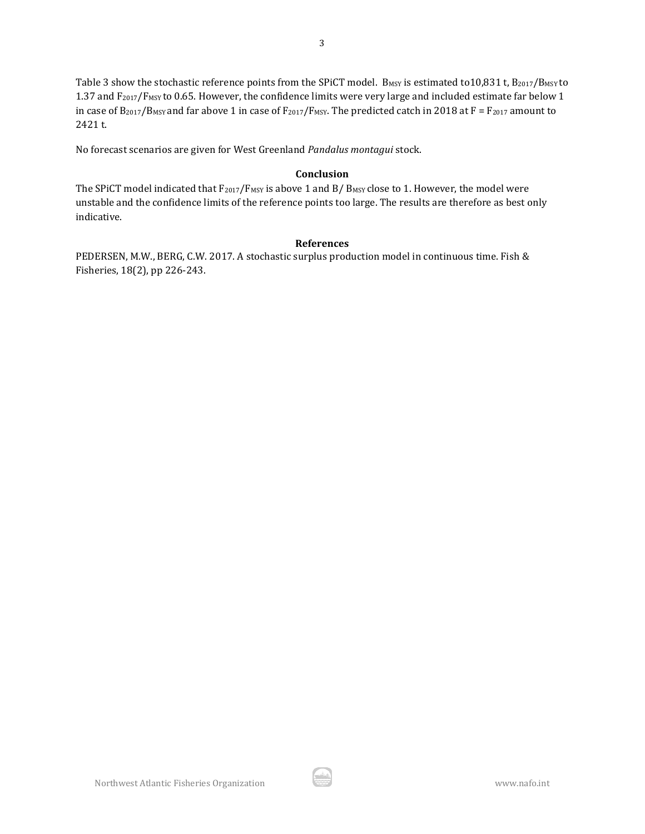Table 3 show the stochastic reference points from the SPiCT model.  $B_{MSY}$  is estimated to10,831 t,  $B_{2017}/B_{MSY}$  to 1.37 and F2017/FMSY to 0.65. However, the confidence limits were very large and included estimate far below 1 in case of  $B_{2017}/B_{MSY}$  and far above 1 in case of  $F_{2017}/F_{MSY}$ . The predicted catch in 2018 at  $F = F_{2017}$  amount to 2421 t.

No forecast scenarios are given for West Greenland *Pandalus montagui* stock.

# **Conclusion**

The SPiCT model indicated that  $F_{2017}/F_{MSY}$  is above 1 and B/  $B_{MSY}$  close to 1. However, the model were unstable and the confidence limits of the reference points too large. The results are therefore as best only indicative.

# **References**

يشر

PEDERSEN, M.W., BERG, C.W. 2017. A stochastic surplus production model in continuous time. Fish & Fisheries, 18(2), pp 226-243.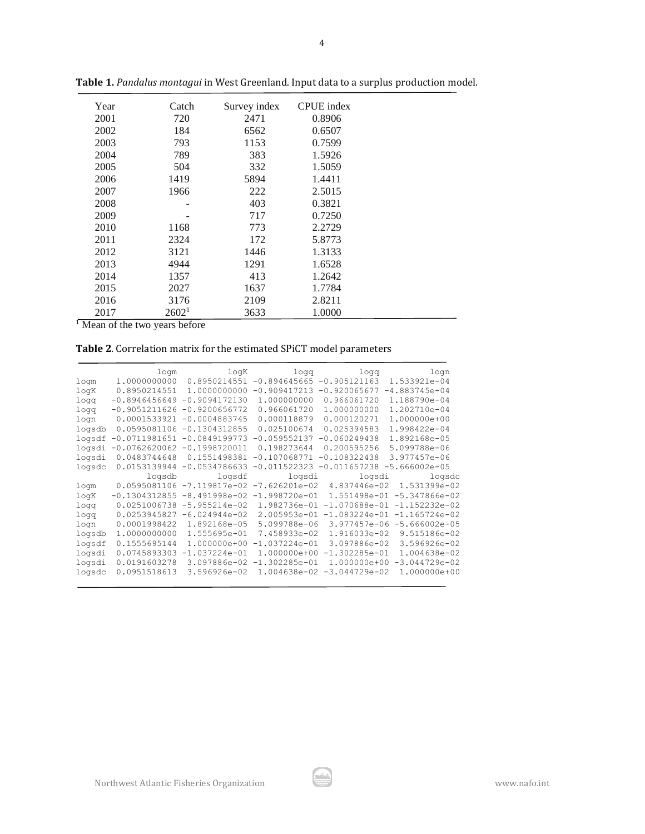| Year | Catch             | Survey index | CPUE index |
|------|-------------------|--------------|------------|
| 2001 | 720               | 2471         | 0.8906     |
| 2002 | 184               | 6562         | 0.6507     |
| 2003 | 793               | 1153         | 0.7599     |
| 2004 | 789               | 383          | 1.5926     |
| 2005 | 504               | 332          | 1.5059     |
| 2006 | 1419              | 5894         | 1.4411     |
| 2007 | 1966              | 222          | 2.5015     |
| 2008 |                   | 403          | 0.3821     |
| 2009 |                   | 717          | 0.7250     |
| 2010 | 1168              | 773          | 2.2729     |
| 2011 | 2324              | 172          | 5.8773     |
| 2012 | 3121              | 1446         | 1.3133     |
| 2013 | 4944              | 1291         | 1.6528     |
| 2014 | 1357              | 413          | 1.2642     |
| 2015 | 2027              | 1637         | 1.7784     |
| 2016 | 3176              | 2109         | 2.8211     |
| 2017 | 2602 <sup>1</sup> | 3633         | 1.0000     |

**Table 1.** *Pandalus montagui* in West Greenland. Input data to a surplus production model.

4

<sup>1</sup> Mean of the two years before

| <b>Table 2.</b> Correlation matrix for the estimated SPiCT model parameters |
|-----------------------------------------------------------------------------|
|-----------------------------------------------------------------------------|

|        | logm            | logK                                       | logg            | logg                         | logn                      |
|--------|-----------------|--------------------------------------------|-----------------|------------------------------|---------------------------|
| logm   | 1,0000000000    | 0.8950214551                               |                 | $-0.894645665 - 0.905121163$ | 1.533921e-04              |
| logK   | 0.8950214551    | 1,0000000000                               | $-0.909417213$  | $-0.920065677$               | $-4.883745e-04$           |
| logg   | $-0.8946456649$ | $-0.9094172130$                            | 1.000000000     | 0.966061720                  | 1.188790e-04              |
| logg   | $-0.9051211626$ | $-0.9200656772$                            | 0.966061720     | 1.000000000                  | 1.202710e-04              |
| logn   | 0.0001533921    | $-0.0004883745$                            | 0.000118879     | 0.000120271                  | 1.000000e+00              |
| logsdb | 0.0595081106    | $-0.1304312855$                            | 0.025100674     | 0.025394583                  | 1.998422e-04              |
| logsdf | $-0.0711981651$ | $-0.0849199773$                            | $-0.059552137$  | $-0.060249438$               | 1.892168e-05              |
| logsdi | $-0.0762620062$ | $-0.1998720011$                            | 0.198273644     | 0.200595256                  | 5.099788e-06              |
| logsdi | 0.0483744648    | 0.1551498381                               | $-0.107068771$  | $-0.108322438$               | 3.977457e-06              |
| logsdc | 0.0153139944    | $-0.0534786633$                            | $-0.011522323$  | $-0.011657238$               | $-5.666002e-05$           |
|        | logsdb          | logsdf                                     | logsdi          | logsdi                       | logsdc                    |
| logm   |                 | $0.0595081106 -7.119817e-02 -7.626201e-02$ |                 |                              | 4.837446e-02 1.531399e-02 |
| logK   | $-0.1304312855$ | $-8.491998e-02$                            | $-1.998720e-01$ | 1.551498e-01                 | $-5.347866e-02$           |
| logg   | 0.0251006738    | $-5.955214e-02$                            | 1.982736e-01    | $-1.070688e - 01$            | $-1.152232e-02$           |
| logg   | 0.0253945827    | $-6.024944e-02$                            | 2.005953e-01    | $-1.083224e-01$              | $-1.165724e-02$           |
| logn   | 0.0001998422    | 1.892168e-05                               | 5.099788e-06    | 3.977457e-06                 | $-5.666002e-05$           |
| logsdb | 1,0000000000    | 1.555695e-01                               | 7.458933e-02    | 1.916033e-02                 | 9.515186e-02              |
| logsdf | 0.1555695144    | 1.000000e+00                               | $-1.037224e-01$ | 3.097886e-02                 | $3.596926e - 02$          |
| logsdi | 0.0745893303    | $-1.037224e-01$                            | 1,000000e+00    | $-1.302285e-01$              | 1.004638e-02              |
| logsdi | 0.0191603278    | 3.097886e-02                               | $-1.302285e-01$ | 1,000000e+00                 | $-3.044729e-02$           |
| logsdc | 0.0951518613    | $3.596926e - 02$                           | 1.004638e-02    | $-3.044729e - 02$            | 1.000000e+00              |
|        |                 |                                            |                 |                              |                           |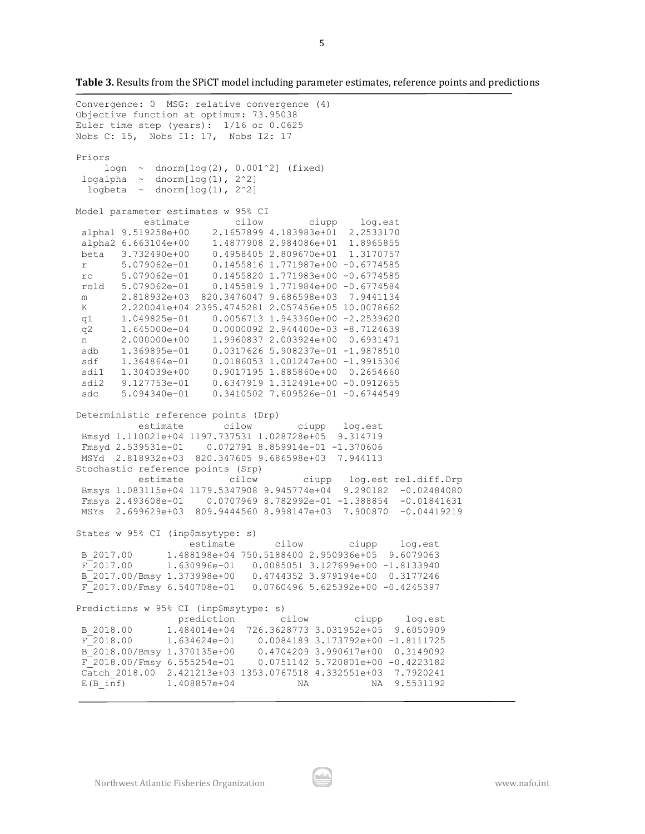Convergence: 0 MSG: relative convergence (4) Objective function at optimum: 73.95038 Euler time step (years): 1/16 or 0.0625 Nobs C: 15, Nobs I1: 17, Nobs I2: 17 Priors  $logn \sim dnorm[log(2), 0.001^2]$  (fixed) logalpha  $\sim$  dnorm[log(1), 2^2] logbeta  $\sim$  dnorm[log(1),  $2^2$ ] Model parameter estimates w 95% CI estimate cilow ciupp log.est alpha1 9.519258e+00 2.1657899 4.183983e+01 2.2533170 alpha2 6.663104e+00 1.4877908 2.984086e+01 1.8965855 beta 3.732490e+00 0.4958405 2.809670e+01 1.3170757 r 5.079062e-01 0.1455816 1.771987e+00 -0.6774585 rc 5.079062e-01 0.1455820 1.771983e+00 -0.6774585 rold 5.079062e-01 0.1455819 1.771984e+00 -0.6774584 m 2.818932e+03 820.3476047 9.686598e+03 7.9441134 K 2.220041e+04 2395.4745281 2.057456e+05 10.0078662 q1 1.049825e-01 0.0056713 1.943360e+00 -2.2539620 q2 1.645000e-04 0.0000092 2.944400e-03 -8.7124639 n 2.000000e+00 1.9960837 2.003924e+00 0.6931471 sdb 1.369895e-01 0.0317626 5.908237e-01 -1.9878510<br>sdf 1.364864e-01 0.0186053 1.001247e+00 -1.9915306 sdf 1.364864e-01 0.0186053 1.001247e+00 -1.9915306 sdi1 1.304039e+00 0.9017195 1.885860e+00 0.2654660 sdi2 9.127753e-01 0.6347919 1.312491e+00 -0.0912655 sdc 5.094340e-01 0.3410502 7.609526e-01 -0.6744549 Deterministic reference points (Drp) estimate cilow ciupp log.est Bmsyd 1.110021e+04 1197.737531 1.028728e+05 9.314719 Fmsyd 2.539531e-01 0.072791 8.859914e-01 -1.370606 MSYd 2.818932e+03 820.347605 9.686598e+03 7.944113 Stochastic reference points (Srp) estimate cilow ciupp log.est rel.diff.Drp Bmsys 1.083115e+04 1179.5347908 9.945774e+04 9.290182 -0.02484080 Fmsys 2.493608e-01 0.0707969 8.782992e-01 -1.388854 -0.01841631 MSYs 2.699629e+03 809.9444560 8.998147e+03 7.900870 -0.04419219 States w 95% CI (inp\$msytype: s) estimate cilow ciupp log.est B\_2017.00 1.488198e+04 750.5188400 2.950936e+05 9.6079063<br>F\_2017.00 1.630996e-01 0.0085051 3.127699e+00 -1.8133940 F\_2017.00 1.630996e-01 0.0085051 3.127699e+00 -1.8133940 B\_2017.00/Bmsy 1.373998e+00 0.4744352 3.979194e+00 0.3177246  $F$ <sup>2017.00/Fmsy 6.540708e-01 0.0760496 5.625392e+00 -0.4245397</sup> Predictions w 95% CI (inp\$msytype: s) prediction cilow ciupp log.est B\_2018.00 1.484014e+04 726.3628773 3.031952e+05 9.6050909 F\_2018.00 1.634624e-01 0.0084189 3.173792e+00 -1.8111725 B\_2018.00/Bmsy 1.370135e+00 0.4704209 3.990617e+00 0.3149092 F\_2018.00/Fmsy 6.555254e-01 0.0751142 5.720801e+00 -0.4223182 Catch\_2018.00 2.421213e+03 1353.0767518 4.332551e+03 7.7920241

E(B\_inf) 1.408857e+04 NA NA 9.5531192

**Table 3.** Results from the SPiCT model including parameter estimates, reference points and predictions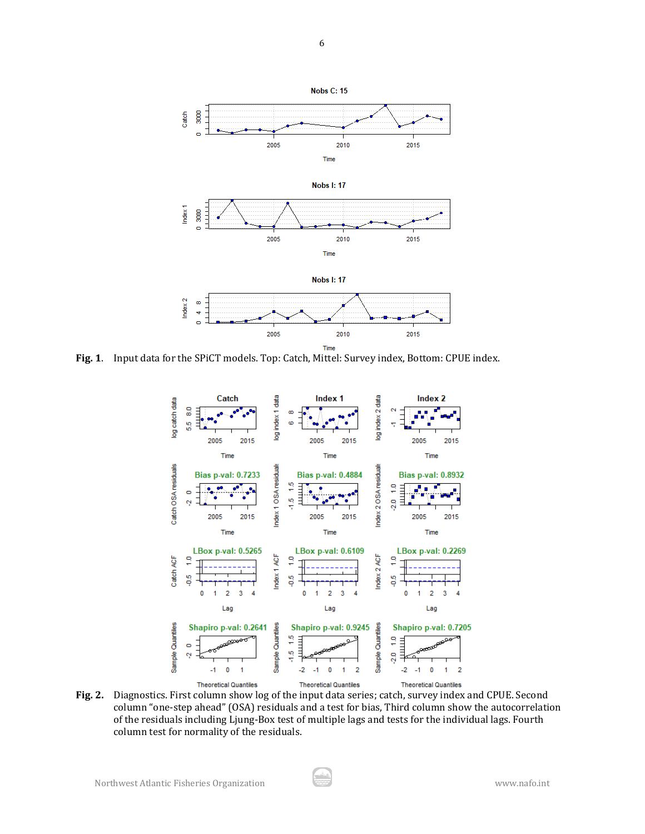

**Fig. 1**. Input data for the SPiCT models. Top: Catch, Mittel: Survey index, Bottom: CPUE index.



**Fig. 2.** Diagnostics. First column show log of the input data series; catch, survey index and CPUE. Second column "one-step ahead" (OSA) residuals and a test for bias, Third column show the autocorrelation of the residuals including Ljung-Box test of multiple lags and tests for the individual lags. Fourth column test for normality of the residuals.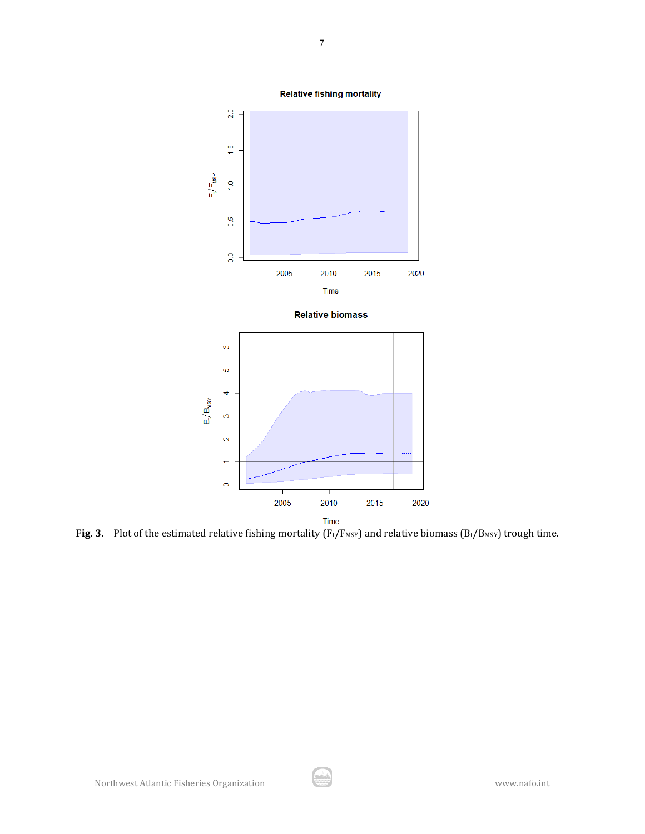

**Fig. 3.** Plot of the estimated relative fishing mortality ( $F_t/F_{MSY}$ ) and relative biomass ( $B_t/B_{MSY}$ ) trough time.

Time

**Relative fishing mortality**